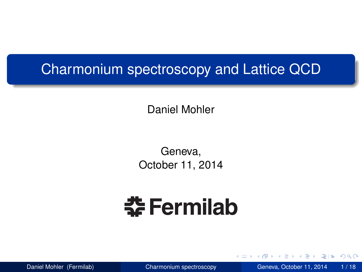#### Charmonium spectroscopy and Lattice QCD

Daniel Mohler

Geneva, October 11, 2014

# **춘 Fermilab**

<span id="page-0-0"></span>

化重氮化重氮 医 Daniel Mohler (Fermilab) [Charmonium spectroscopy](#page-17-0) Geneva, October 11, 2014 1 / 18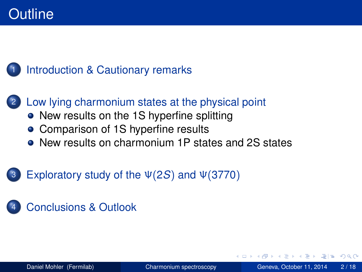#### [Introduction & Cautionary remarks](#page-2-0)

# 2 [Low lying charmonium states at the physical point](#page-4-0)

- [New results on the 1S hyperfine splitting](#page-4-0)
- [Comparison of 1S hyperfine results](#page-8-0)
- [New results on charmonium 1P states and 2S states](#page-9-0)

#### 3 [Exploratory study of the](#page-13-0) Ψ(2*S*) and Ψ(3770)

#### 4 [Conclusions & Outlook](#page-16-0)

<span id="page-1-0"></span> $\Omega$ 

The South The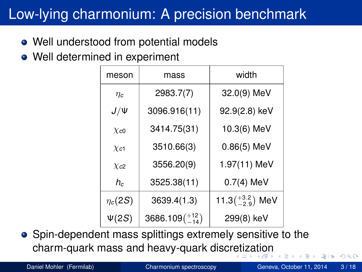# Low-lying charmonium: A precision benchmark

- Well understood from potential models
- Well determined in experiment

<span id="page-2-0"></span>

| meson                | mass                     | width                         |
|----------------------|--------------------------|-------------------------------|
| $\eta_c$             | 2983.7(7)                | 32.0(9) MeV                   |
| $J/\Psi$             | 3096.916(11)             | 92.9(2.8) keV                 |
| $\chi_{c0}$          | 3414.75(31)              | 10.3(6) MeV                   |
| $\chi_{c1}$          | 3510.66(3)               | $0.86(5)$ MeV                 |
| $\chi$ <sub>c2</sub> | 3556.20(9)               | 1.97(11) MeV                  |
| $h_c$                | 3525.38(11)              | $0.7(4)$ MeV                  |
| $\eta_c(2S)$         | 3639.4(1.3)              | 11.3 $\binom{+3.2}{-2.9}$ MeV |
| $\Psi(2S)$           | $3686.109(^{+12}_{-14})$ | 299(8) keV                    |

Spin-dependent mass splittings extremely sensitive to the charm-quark mass and heavy-quark discr[et](#page-1-0)i[za](#page-3-0)[t](#page-1-0)[io](#page-2-0)[n](#page-3-0)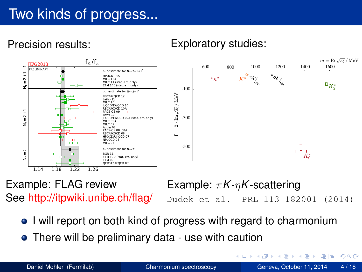### Two kinds of progress...

Precision results: Exploratory studies:



Example: FLAG review See http://itpwiki.unibe.ch/flag/

Example: π*K*-η*K*-scattering Dudek et al. PRL 113 182001 (2014)

イロト イ押 トイラト イラト

- I will report on both kind of progress with regard to charmonium
- There will be preliminary data use with caution

<span id="page-3-0"></span>드바리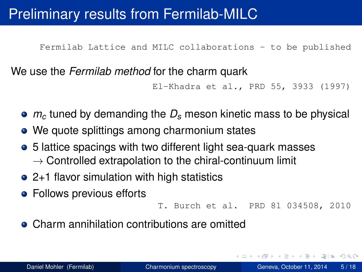#### Preliminary results from Fermilab-MILC

Fermilab Lattice and MILC collaborations - to be published

We use the *Fermilab method* for the charm quark

El-Khadra et al., PRD 55, 3933 (1997)

- *m<sup>c</sup>* tuned by demanding the *D<sup>s</sup>* meson kinetic mass to be physical
- We quote splittings among charmonium states
- 5 lattice spacings with two different light sea-quark masses  $\rightarrow$  Controlled extrapolation to the chiral-continuum limit
- 2+1 flavor simulation with high statistics
- **•** Follows previous efforts

```
T. Burch et al. PRD 81 034508, 2010
```
• Charm annihilation contributions are omitted

<span id="page-4-0"></span>K ロ > K @ > K ミ > K ミ > (로) = 10,00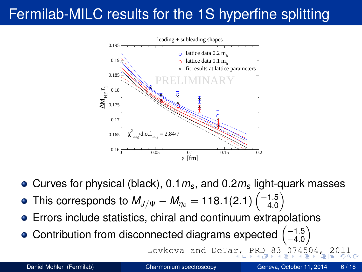# Fermilab-MILC results for the 1S hyperfine splitting



- Curves for physical (black), 0.1*ms*, and 0.2*m<sup>s</sup>* light-quark masses
- This corresponds to  $M_{J/\Psi} M_{\eta_c} = 118.1(2.1)\left(^{-1.5}_{-4.0}\right)$  $-4.0$  $\setminus$
- Errors include statistics, chiral and continuum extrapolations
- Contribution from disconnected diagrams expected  $\begin{pmatrix} -1.5 \\ -4.0 \end{pmatrix}$  $-4.0$  $\setminus$

<span id="page-5-0"></span>Levkova and DeTa[r,](#page-4-0) [P](#page-6-0)[R](#page-4-0)[D](#page-5-0) [8](#page-6-0)[3](#page-3-0) [0](#page-7-0)[7](#page-8-0)[4](#page-13-0)[5](#page-4-0)[0](#page-12-0)4[,](#page-0-0)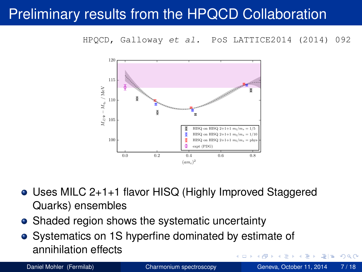#### Preliminary results from the HPQCD Collaboration

HPQCD, Galloway et al. PoS LATTICE2014 (2014) 092



- Uses MILC 2+1+1 flavor HISQ (Highly Improved Staggered Quarks) ensembles
- Shaded region shows the systematic uncertainty
- Systematics on 1S hyperfine dominated by estimate of annihilation effects A F . . . . . .

<span id="page-6-0"></span>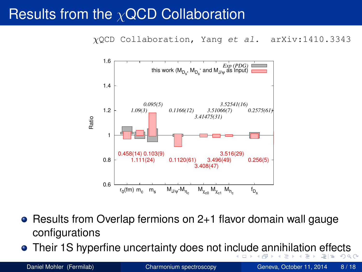#### Results from the  $\chi$ QCD Collaboration

χQCD Collaboration, Yang et al. arXiv:1410.3343



- Results from Overlap fermions on 2+1 flavor domain wall gauge configurations
- Their 1S hyperfine uncertainty does not in[clu](#page-6-0)[d](#page-8-0)[e](#page-6-0) [a](#page-7-0)[n](#page-13-0)[ni](#page-3-0)[h](#page-4-0)[i](#page-4-0)[la](#page-8-0)[t](#page-3-0)i[o](#page-12-0)n [e](#page-0-0)[f](#page-18-0)f[ec](#page-25-0)ts

<span id="page-7-0"></span>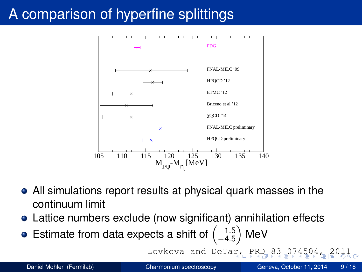# A comparison of hyperfine splittings



- All simulations report results at physical quark masses in the continuum limit
- Lattice numbers exclude (now significant) annihilation effects
- Estimate from data expects a shift of  $\begin{pmatrix} -1.5 \\ -4.5 \end{pmatrix}$  $-4.5$ MeV

<span id="page-8-0"></span>Levkova and DeTa[r,](#page-7-0) [P](#page-9-0)[R](#page-7-0)[D](#page-8-0) [8](#page-9-0)[3](#page-7-0) $074504$  $074504$  $074504$  $074504$  $074504$  $074504$ [,](#page-0-0) [20](#page-25-0)11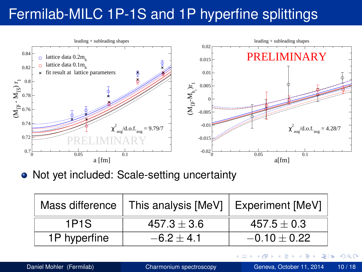### Fermilab-MILC 1P-1S and 1P hyperfine splittings



• Not yet included: Scale-setting uncertainty

|              | Mass difference $ $ This analysis $[MeV]$ Experiment $[MeV]$ |                 |  |
|--------------|--------------------------------------------------------------|-----------------|--|
| 1P1S         | $457.3 \pm 3.6$                                              | $457.5 \pm 0.3$ |  |
| 1P hyperfine | $-6.2 + 4.1$                                                 | $-0.10 + 0.22$  |  |

 $\sim$ 世 <span id="page-9-0"></span> $\Omega$ 

化重新分量

4 0 8 × ×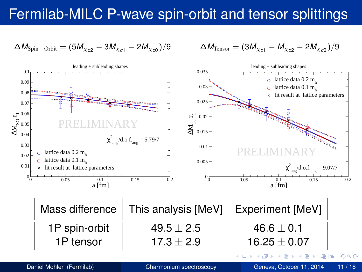#### Fermilab-MILC P-wave spin-orbit and tensor splittings

$$
\Delta M_{\rm Spin-Orbit} = (5M_{\chi_{c2}} - 3M_{\chi_{c1}} - 2M_{\chi_{c0}})/9
$$

$$
\Delta M_{\text{Tensor}} = (3M_{\chi_{c1}} - M_{\chi_{c2}} - 2M_{\chi_{c0}})/9
$$



| Mass difference | This analysis $[MeV]$ | Experiment [MeV] |  |
|-----------------|-----------------------|------------------|--|
| 1P spin-orbit   | $49.5 \pm 2.5$        | $46.6 \pm 0.1$   |  |
| 1P tensor       | $17.3 + 2.9$          | $16.25 \pm 0.07$ |  |

Daniel Mohler (Fermilab) [Charmonium spectroscopy](#page-0-0) Geneva, October 11, 2014 11 / 18

医单位 医单

4 ロ ト ィ *同* ト

 $\equiv$  $=$ 

 $\sim$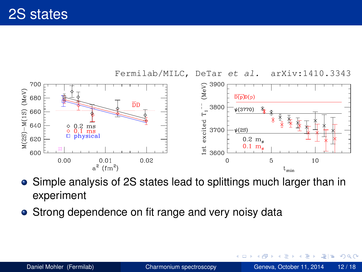

- Simple analysis of 2S states lead to splittings much larger than in experiment
- Strong dependence on fit range and very noisy data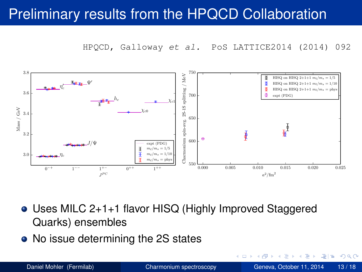#### Preliminary results from the HPQCD Collaboration

HPQCD, Galloway et al. PoS LATTICE2014 (2014) 092



- Uses MILC 2+1+1 flavor HISQ (Highly Improved Staggered Quarks) ensembles
- No issue determining the 2S states

压

l =

<span id="page-12-0"></span> $\Omega$ 

化重压 化重压

画

4 D.K.  $\sim$ ×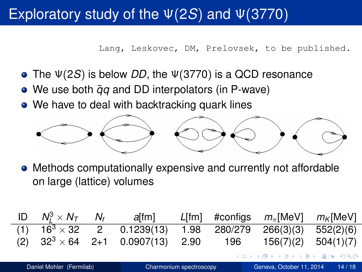#### Exploratory study of the Ψ(2*S*) and Ψ(3770)

<span id="page-13-0"></span>Lang, Leskovec, DM, Prelovsek, to be published.

- The Ψ(2*S*) is below *DD*, the Ψ(3770) is a QCD resonance
- We use both  $\bar{q}q$  and DD interpolators (in P-wave)
- We have to deal with backtracking quark lines



Methods computationally expensive and currently not affordable on large (lattice) volumes

|     | ID $N_t^3 \times N_T$    | $N_f$ | <i>a</i> [fm]                        |                         |         | $L[fm]$ #configs $m_{\pi}$ [MeV] | $m_{\mathsf{K}}$ [MeV] |
|-----|--------------------------|-------|--------------------------------------|-------------------------|---------|----------------------------------|------------------------|
|     |                          |       | (1) $16^3 \times 32$ 2 0.1239(13)    | 1.98                    | 280/279 | 266(3)(3)                        | 552(2)(6)              |
| (2) |                          |       | $32^3 \times 64$ 2+1 0.0907(13) 2.90 |                         | 196     | 156(7)(2)                        | 504(1)(7)              |
|     |                          |       |                                      |                         |         | イロト (押) マミドマミド ミ性 の女の            |                        |
|     | Daniel Mohler (Fermilab) |       |                                      | Charmonium spectroscopy |         | Geneva, October 11, 2014         | 14/18                  |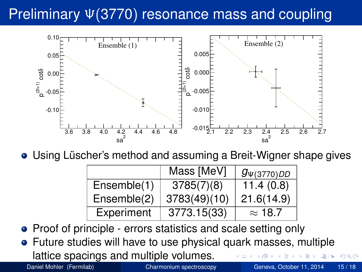# Preliminary Ψ(3770) resonance mass and coupling



Using Lüscher's method and assuming a Breit-Wigner shape gives

|             | Mass [MeV]   | $g_{\Psi(3770)DD}$ |
|-------------|--------------|--------------------|
| Ensemble(1) | 3785(7)(8)   | 11.4(0.8)          |
| Ensemble(2) | 3783(49)(10) | 21.6(14.9)         |
| Experiment  | 3773.15(33)  | $\approx$ 18.7     |

• Proof of principle - errors statistics and scale setting only

Future studies will have to use physical quark masses, multiple lattice spacings and multiple volumes.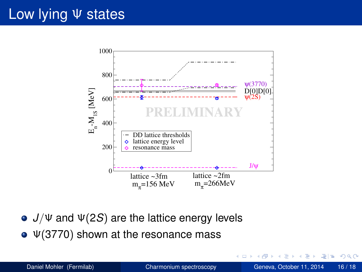#### Low lying Ψ states



- *J*/Ψ and Ψ(2*S*) are the lattice energy levels
- $\bullet$  Ψ(3770) shown at the resonance mass

 $A \equiv A \equiv A \equiv A$   $B \equiv A \equiv A \cap A$ 

AD 15

4 D.K.  $\sim$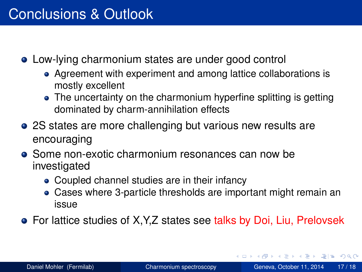- Low-lying charmonium states are under good control
	- Agreement with experiment and among lattice collaborations is mostly excellent
	- The uncertainty on the charmonium hyperfine splitting is getting dominated by charm-annihilation effects
- 2S states are more challenging but various new results are encouraging
- Some non-exotic charmonium resonances can now be investigated
	- Coupled channel studies are in their infancy
	- Cases where 3-particle thresholds are important might remain an issue
- <span id="page-16-0"></span>For lattice studies of X,Y,Z states see talks by Doi, Liu, Prelovsek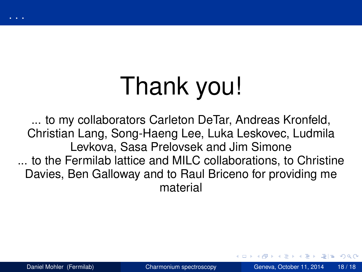<span id="page-17-0"></span>

... to my collaborators Carleton DeTar, Andreas Kronfeld, Christian Lang, Song-Haeng Lee, Luka Leskovec, Ludmila Levkova, Sasa Prelovsek and Jim Simone ... to the Fermilab lattice and MILC collaborations, to Christine Davies, Ben Galloway and to Raul Briceno for providing me material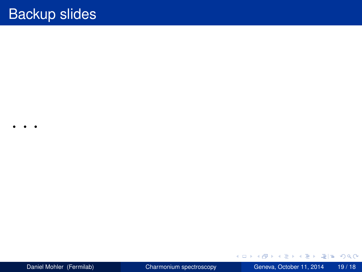. . .

<span id="page-18-0"></span>

K ロ ▶ K 個 ▶ K ヨ ▶ K ヨ ▶ [로] 및 9 Q @ Daniel Mohler (Fermilab) [Charmonium spectroscopy](#page-0-0) Geneva, October 11, 2014 19/18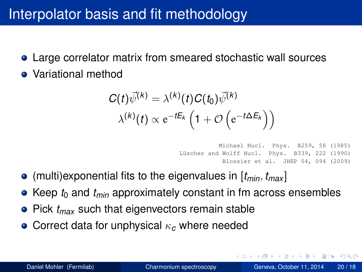#### Interpolator basis and fit methodology

- Large correlator matrix from smeared stochastic wall sources
- Variational method

$$
C(t)\vec{\psi}^{(k)} = \lambda^{(k)}(t)C(t_0)\vec{\psi}^{(k)}
$$

$$
\lambda^{(k)}(t) \propto e^{-tE_k} \left(1 + \mathcal{O}\left(e^{-t\Delta E_k}\right)\right)
$$

<span id="page-19-0"></span>Michael Nucl. Phys. B259, 58 (1985) Lüscher and Wolff Nucl. Phys. B339, 222 (1990) Blossier et al. JHEP 04, 094 (2009)

- $\bullet$  (multi)exponential fits to the eigenvalues in  $[t_{min}, t_{max}]$
- $\bullet$  Keep  $t_0$  and  $t_{min}$  approximately constant in fm across ensembles
- Pick  $t_{max}$  such that eigenvectors remain stable
- Correct data for unphysical κ*<sup>c</sup>* where needed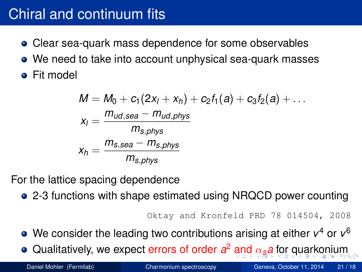#### Chiral and continuum fits

- Clear sea-quark mass dependence for some observables
- We need to take into account unphysical sea-quark masses
- **•** Fit model

$$
M = M_0 + c_1(2x_1 + x_1) + c_2t_1(a) + c_3t_2(a) + \dots
$$
  
\n
$$
x_1 = \frac{m_{ud,sea} - m_{ud,phys}}{m_{s,phys}}
$$
  
\n
$$
x_1 = \frac{m_{s,sea} - m_{s,phys}}{m_{s,phys}}
$$

For the lattice spacing dependence

2-3 functions with shape estimated using NRQCD power counting

```
Oktay and Kronfeld PRD 78 014504, 2008
```
- We consider the leading two contributions arising at either *v* <sup>4</sup> or *v* 6
- Qualitatively, we expect errors of order *a* <sup>2</sup> [an](#page-19-0)[d](#page-21-0) [α](#page-19-0)*[s](#page-20-0)[a](#page-20-0)* [f](#page-17-0)[o](#page-18-0)[r q](#page-25-0)[u](#page-17-0)[a](#page-18-0)[rk](#page-25-0)[o](#page-0-0)[n](#page-17-0)[iu](#page-25-0)m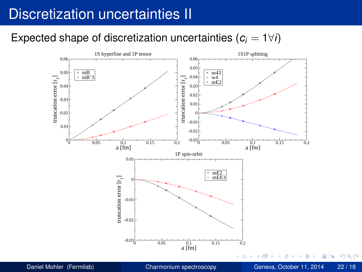#### Discretization uncertainties II

#### Expected shape of discretization uncertainties  $(c_i = 1 \forall i)$



<span id="page-21-0"></span>국(국)  $\Omega$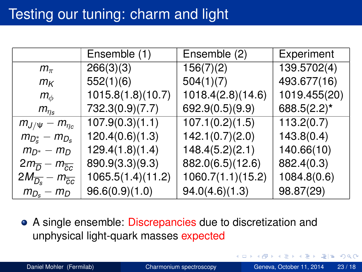|                                                      | Ensemble (1)      | Ensemble (2)      | Experiment      |
|------------------------------------------------------|-------------------|-------------------|-----------------|
| $m_{\pi}$                                            | 266(3)(3)         | 156(7)(2)         | 139.5702(4)     |
| $m_{K}$                                              | 552(1)(6)         | 504(1)(7)         | 493.677(16)     |
| $m_\phi$                                             | 1015.8(1.8)(10.7) | 1018.4(2.8)(14.6) | 1019.455(20)    |
| $m_{\eta_s}$                                         | 732.3(0.9)(7.7)   | 692.9(0.5)(9.9)   | 688.5 $(2.2)^*$ |
| $m_{J/\Psi} - m_{\eta_c}$                            | 107.9(0.3)(1.1)   | 107.1(0.2)(1.5)   | 113.2(0.7)      |
| $m_{D_{s}^{*}} - m_{D_{s}}$                          | 120.4(0.6)(1.3)   | 142.1(0.7)(2.0)   | 143.8(0.4)      |
| $m_{D^*} - m_D$                                      | 129.4(1.8)(1.4)   | 148.4(5.2)(2.1)   | 140.66(10)      |
| $2m_{\overline{D}} - m_{\overline{c}\overline{c}}$   | 890.9(3.3)(9.3)   | 882.0(6.5)(12.6)  | 882.4(0.3)      |
| $2M_{\overline{D_{s}}}-m_{\overline{c}\overline{c}}$ | 1065.5(1.4)(11.2) | 1060.7(1.1)(15.2) | 1084.8(0.6)     |
| $m_{D_s} - m_D$                                      | 96.6(0.9)(1.0)    | 94.0(4.6)(1.3)    | 98.87(29)       |

A single ensemble: Discrepancies due to discretization and unphysical light-quark masses expected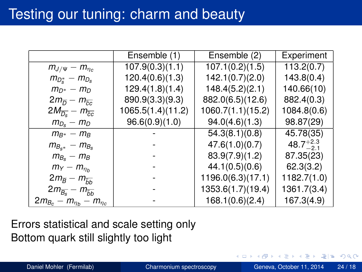|                                                      | Ensemble (1)      | Ensemble (2)      | Experiment           |
|------------------------------------------------------|-------------------|-------------------|----------------------|
| $m_{J/\Psi}-m_{\eta_c}$                              | 107.9(0.3)(1.1)   | 107.1(0.2)(1.5)   | 113.2(0.7)           |
| $m_{D_s^*}-m_{D_s}$                                  | 120.4(0.6)(1.3)   | 142.1(0.7)(2.0)   | 143.8(0.4)           |
| $m_{D^*} - m_D$                                      | 129.4(1.8)(1.4)   | 148.4(5.2)(2.1)   | 140.66(10)           |
| $2m_{\overline{D}} - m_{\overline{c}\overline{c}}$   | 890.9(3.3)(9.3)   | 882.0(6.5)(12.6)  | 882.4(0.3)           |
| $2M_{\overline{D_{s}}}-m_{\overline{c}\overline{c}}$ | 1065.5(1.4)(11.2) | 1060.7(1.1)(15.2) | 1084.8(0.6)          |
| $m_{D_s} - m_D$                                      | 96.6(0.9)(1.0)    | 94.0(4.6)(1.3)    | 98.87(29)            |
| $m_{B^*} - m_B$                                      |                   | 54.3(8.1)(0.8)    | 45.78(35)            |
| $m_{B_{s^*}} - m_{B_s}$                              |                   | 47.6(1.0)(0.7)    | $48.7^{+2.3}_{-2.1}$ |
| $m_{B_s}-m_B$                                        |                   | 83.9(7.9)(1.2)    | 87.35(23)            |
| $m_Y - m_{\eta_h}$                                   |                   | 44.1(0.5)(0.6)    | 62.3(3.2)            |
| $2m_{\overline{B}}-m_{\overline{b}b}$                |                   | 1196.0(6.3)(17.1) | 1182.7(1.0)          |
| $2m_{\overline{B_s}} - m_{\overline{b}b}$            |                   | 1353.6(1.7)(19.4) | 1361.7(3.4)          |
| $2m_{B_c} - m_{\eta_b} - m_{\eta_c}$                 |                   | 168.1(0.6)(2.4)   | 167.3(4.9)           |

Errors statistical and scale setting only Bottom quark still slightly too light

4 D.K.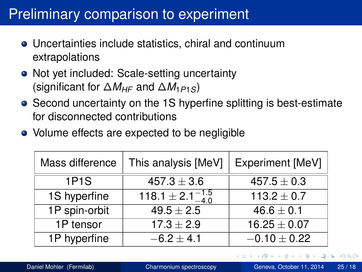#### Preliminary comparison to experiment

- Uncertainties include statistics, chiral and continuum extrapolations
- Not yet included: Scale-setting uncertainty (significant for ∆*MHF* and ∆*M*1*P*1*S*)
- Second uncertainty on the 1S hyperfine splitting is best-estimate for disconnected contributions
- Volume effects are expected to be negligible

| Mass difference | This analysis [MeV]              | Experiment [MeV] |
|-----------------|----------------------------------|------------------|
| <b>1P1S</b>     | $457.3 \pm 3.6$                  | $457.5 \pm 0.3$  |
| 1S hyperfine    | 118.1 $\pm$ 2.1 $^{-1.5}_{-4.0}$ | $113.2 \pm 0.7$  |
| 1P spin-orbit   | $49.5 \pm 2.5$                   | $46.6 \pm 0.1$   |
| 1P tensor       | $17.3 \pm 2.9$                   | $16.25 \pm 0.07$ |
| 1P hyperfine    | $-6.2 \pm 4.1$                   | $-0.10 \pm 0.22$ |

 $\Omega$ 

医单位 医单